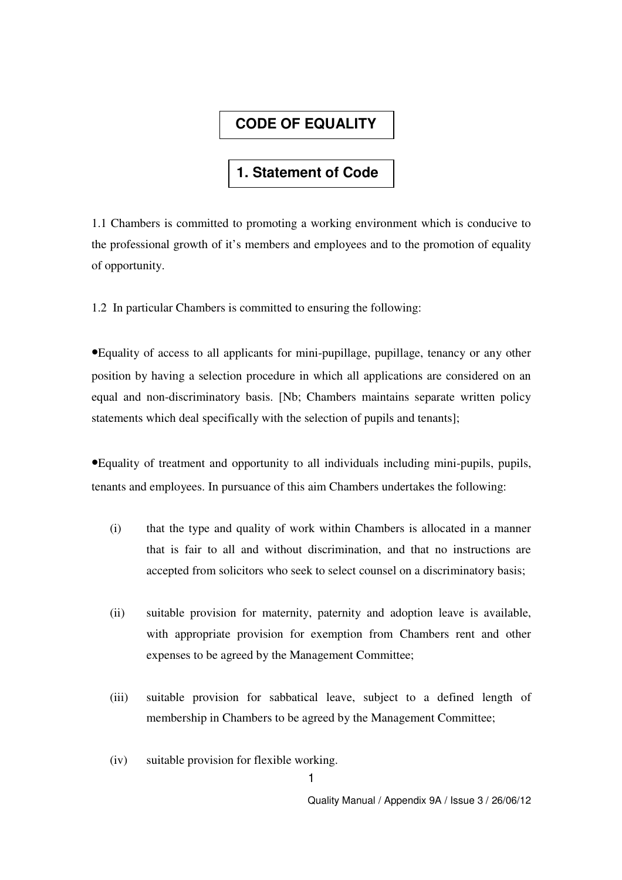### **CODE OF EQUALITY**

#### **1. Statement of Code**

1.1 Chambers is committed to promoting a working environment which is conducive to the professional growth of it's members and employees and to the promotion of equality of opportunity.

1.2 In particular Chambers is committed to ensuring the following:

•Equality of access to all applicants for mini-pupillage, pupillage, tenancy or any other position by having a selection procedure in which all applications are considered on an equal and non-discriminatory basis. [Nb; Chambers maintains separate written policy statements which deal specifically with the selection of pupils and tenants];

•Equality of treatment and opportunity to all individuals including mini-pupils, pupils, tenants and employees. In pursuance of this aim Chambers undertakes the following:

- (i) that the type and quality of work within Chambers is allocated in a manner that is fair to all and without discrimination, and that no instructions are accepted from solicitors who seek to select counsel on a discriminatory basis;
- (ii) suitable provision for maternity, paternity and adoption leave is available, with appropriate provision for exemption from Chambers rent and other expenses to be agreed by the Management Committee;
- (iii) suitable provision for sabbatical leave, subject to a defined length of membership in Chambers to be agreed by the Management Committee;
- (iv) suitable provision for flexible working.

1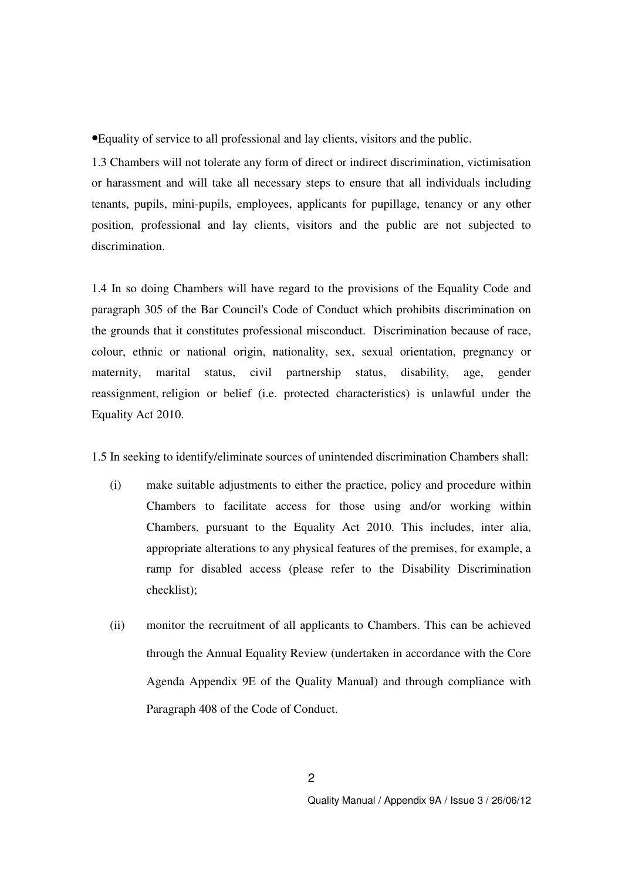•Equality of service to all professional and lay clients, visitors and the public.

1.3 Chambers will not tolerate any form of direct or indirect discrimination, victimisation or harassment and will take all necessary steps to ensure that all individuals including tenants, pupils, mini-pupils, employees, applicants for pupillage, tenancy or any other position, professional and lay clients, visitors and the public are not subjected to discrimination.

1.4 In so doing Chambers will have regard to the provisions of the Equality Code and paragraph 305 of the Bar Council's Code of Conduct which prohibits discrimination on the grounds that it constitutes professional misconduct. Discrimination because of race, colour, ethnic or national origin, nationality, sex, sexual orientation, pregnancy or maternity, marital status, civil partnership status, disability, age, gender reassignment, religion or belief (i.e. protected characteristics) is unlawful under the Equality Act 2010.

1.5 In seeking to identify/eliminate sources of unintended discrimination Chambers shall:

- (i) make suitable adjustments to either the practice, policy and procedure within Chambers to facilitate access for those using and/or working within Chambers, pursuant to the Equality Act 2010. This includes, inter alia, appropriate alterations to any physical features of the premises, for example, a ramp for disabled access (please refer to the Disability Discrimination checklist);
- (ii) monitor the recruitment of all applicants to Chambers. This can be achieved through the Annual Equality Review (undertaken in accordance with the Core Agenda Appendix 9E of the Quality Manual) and through compliance with Paragraph 408 of the Code of Conduct.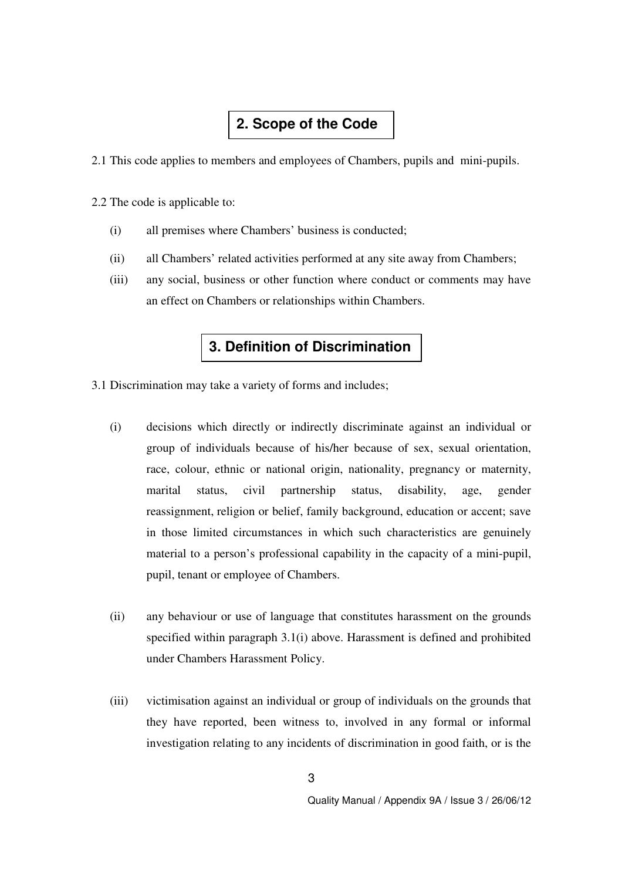### **2. Scope of the Code**

2.1 This code applies to members and employees of Chambers, pupils and mini-pupils.

2.2 The code is applicable to:

- (i) all premises where Chambers' business is conducted;
- (ii) all Chambers' related activities performed at any site away from Chambers;
- (iii) any social, business or other function where conduct or comments may have an effect on Chambers or relationships within Chambers.

#### **3. Definition of Discrimination**

- 3.1 Discrimination may take a variety of forms and includes;
	- (i) decisions which directly or indirectly discriminate against an individual or group of individuals because of his/her because of sex, sexual orientation, race, colour, ethnic or national origin, nationality, pregnancy or maternity, marital status, civil partnership status, disability, age, gender reassignment, religion or belief, family background, education or accent; save in those limited circumstances in which such characteristics are genuinely material to a person's professional capability in the capacity of a mini-pupil, pupil, tenant or employee of Chambers.
	- (ii) any behaviour or use of language that constitutes harassment on the grounds specified within paragraph 3.1(i) above. Harassment is defined and prohibited under Chambers Harassment Policy.
	- (iii) victimisation against an individual or group of individuals on the grounds that they have reported, been witness to, involved in any formal or informal investigation relating to any incidents of discrimination in good faith, or is the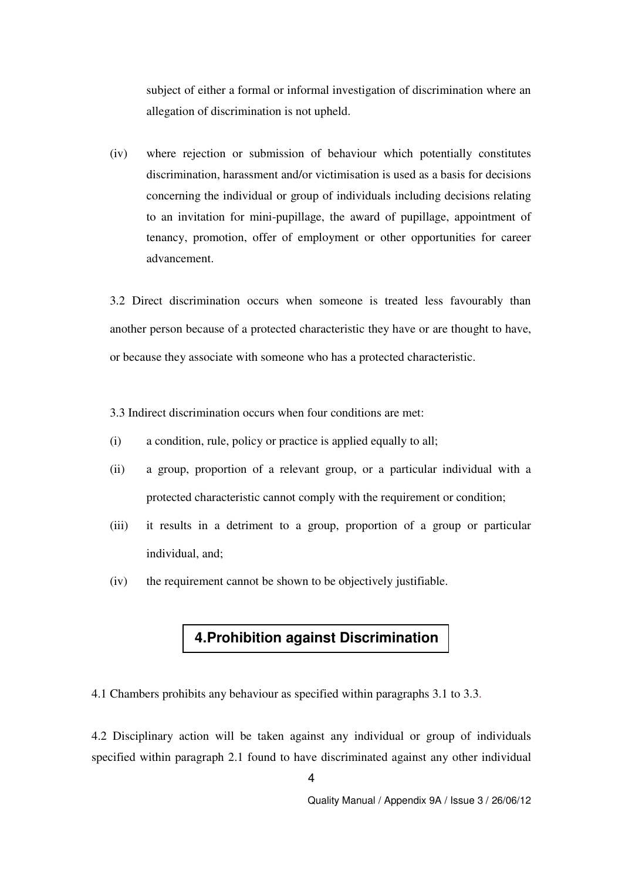subject of either a formal or informal investigation of discrimination where an allegation of discrimination is not upheld.

(iv) where rejection or submission of behaviour which potentially constitutes discrimination, harassment and/or victimisation is used as a basis for decisions concerning the individual or group of individuals including decisions relating to an invitation for mini-pupillage, the award of pupillage, appointment of tenancy, promotion, offer of employment or other opportunities for career advancement.

3.2 Direct discrimination occurs when someone is treated less favourably than another person because of a protected characteristic they have or are thought to have, or because they associate with someone who has a protected characteristic.

3.3 Indirect discrimination occurs when four conditions are met:

- (i) a condition, rule, policy or practice is applied equally to all;
- (ii) a group, proportion of a relevant group, or a particular individual with a protected characteristic cannot comply with the requirement or condition;
- (iii) it results in a detriment to a group, proportion of a group or particular individual, and;
- (iv) the requirement cannot be shown to be objectively justifiable.

### **4.Prohibition against Discrimination**

4.1 Chambers prohibits any behaviour as specified within paragraphs 3.1 to 3.3.

4.2 Disciplinary action will be taken against any individual or group of individuals specified within paragraph 2.1 found to have discriminated against any other individual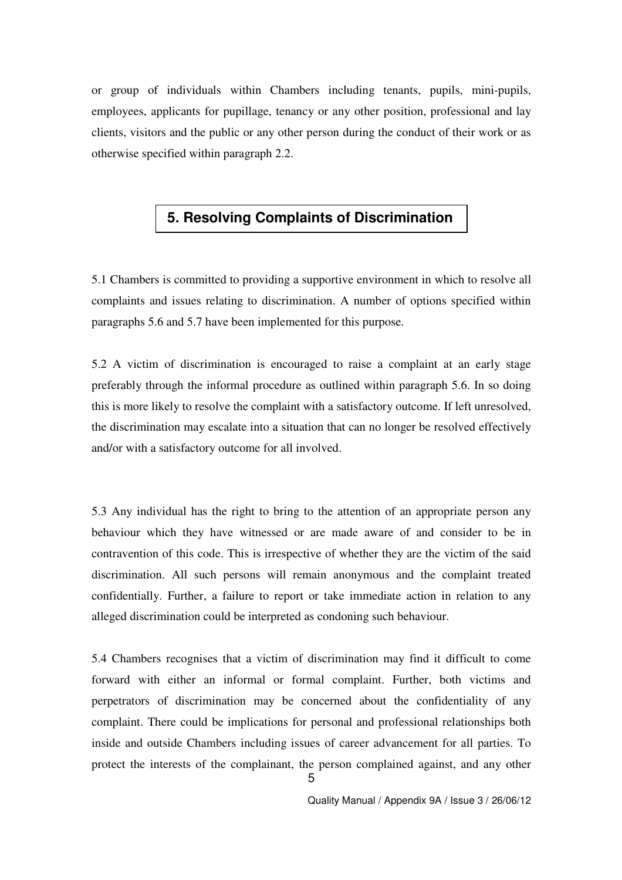or group of individuals within Chambers including tenants, pupils, mini-pupils, employees, applicants for pupillage, tenancy or any other position, professional and lay clients, visitors and the public or any other person during the conduct of their work or as otherwise specified within paragraph 2.2.

#### **5. Resolving Complaints of Discrimination**

5.1 Chambers is committed to providing a supportive environment in which to resolve all complaints and issues relating to discrimination. A number of options specified within paragraphs 5.6 and 5.7 have been implemented for this purpose.

5.2 A victim of discrimination is encouraged to raise a complaint at an early stage preferably through the informal procedure as outlined within paragraph 5.6. In so doing this is more likely to resolve the complaint with a satisfactory outcome. If left unresolved, the discrimination may escalate into a situation that can no longer be resolved effectively and/or with a satisfactory outcome for all involved.

5.3 Any individual has the right to bring to the attention of an appropriate person any behaviour which they have witnessed or are made aware of and consider to be in contravention of this code. This is irrespective of whether they are the victim of the said discrimination. All such persons will remain anonymous and the complaint treated confidentially. Further, a failure to report or take immediate action in relation to any alleged discrimination could be interpreted as condoning such behaviour.

5.4 Chambers recognises that a victim of discrimination may find it difficult to come forward with either an informal or formal complaint. Further, both victims and perpetrators of discrimination may be concerned about the confidentiality of any complaint. There could be implications for personal and professional relationships both inside and outside Chambers including issues of career advancement for all parties. To protect the interests of the complainant, the person complained against, and any other

5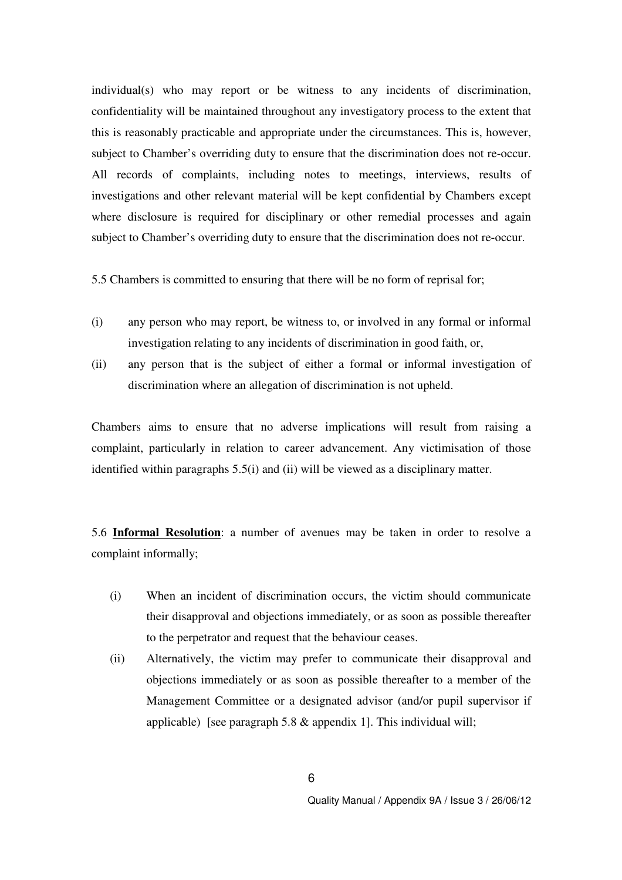individual(s) who may report or be witness to any incidents of discrimination, confidentiality will be maintained throughout any investigatory process to the extent that this is reasonably practicable and appropriate under the circumstances. This is, however, subject to Chamber's overriding duty to ensure that the discrimination does not re-occur. All records of complaints, including notes to meetings, interviews, results of investigations and other relevant material will be kept confidential by Chambers except where disclosure is required for disciplinary or other remedial processes and again subject to Chamber's overriding duty to ensure that the discrimination does not re-occur.

5.5 Chambers is committed to ensuring that there will be no form of reprisal for;

- (i) any person who may report, be witness to, or involved in any formal or informal investigation relating to any incidents of discrimination in good faith, or,
- (ii) any person that is the subject of either a formal or informal investigation of discrimination where an allegation of discrimination is not upheld.

Chambers aims to ensure that no adverse implications will result from raising a complaint, particularly in relation to career advancement. Any victimisation of those identified within paragraphs 5.5(i) and (ii) will be viewed as a disciplinary matter.

5.6 **Informal Resolution**: a number of avenues may be taken in order to resolve a complaint informally;

- (i) When an incident of discrimination occurs, the victim should communicate their disapproval and objections immediately, or as soon as possible thereafter to the perpetrator and request that the behaviour ceases.
- (ii) Alternatively, the victim may prefer to communicate their disapproval and objections immediately or as soon as possible thereafter to a member of the Management Committee or a designated advisor (and/or pupil supervisor if applicable) [see paragraph 5.8 & appendix 1]. This individual will;

6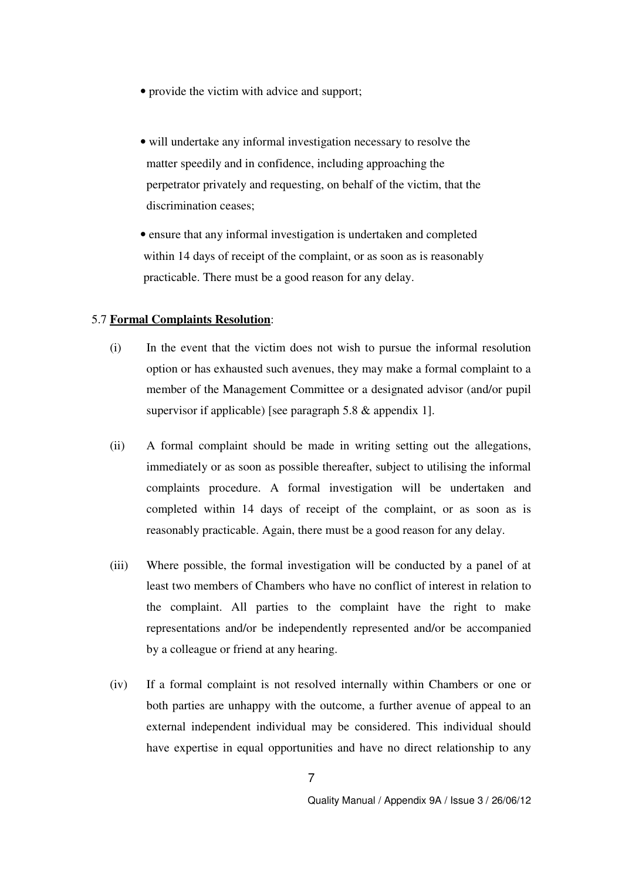- provide the victim with advice and support;
- will undertake any informal investigation necessary to resolve the matter speedily and in confidence, including approaching the perpetrator privately and requesting, on behalf of the victim, that the discrimination ceases;
- ensure that any informal investigation is undertaken and completed within 14 days of receipt of the complaint, or as soon as is reasonably practicable. There must be a good reason for any delay.

#### 5.7 **Formal Complaints Resolution**:

- (i) In the event that the victim does not wish to pursue the informal resolution option or has exhausted such avenues, they may make a formal complaint to a member of the Management Committee or a designated advisor (and/or pupil supervisor if applicable) [see paragraph 5.8 & appendix 1].
- (ii) A formal complaint should be made in writing setting out the allegations, immediately or as soon as possible thereafter, subject to utilising the informal complaints procedure. A formal investigation will be undertaken and completed within 14 days of receipt of the complaint, or as soon as is reasonably practicable. Again, there must be a good reason for any delay.
- (iii) Where possible, the formal investigation will be conducted by a panel of at least two members of Chambers who have no conflict of interest in relation to the complaint. All parties to the complaint have the right to make representations and/or be independently represented and/or be accompanied by a colleague or friend at any hearing.
- (iv) If a formal complaint is not resolved internally within Chambers or one or both parties are unhappy with the outcome, a further avenue of appeal to an external independent individual may be considered. This individual should have expertise in equal opportunities and have no direct relationship to any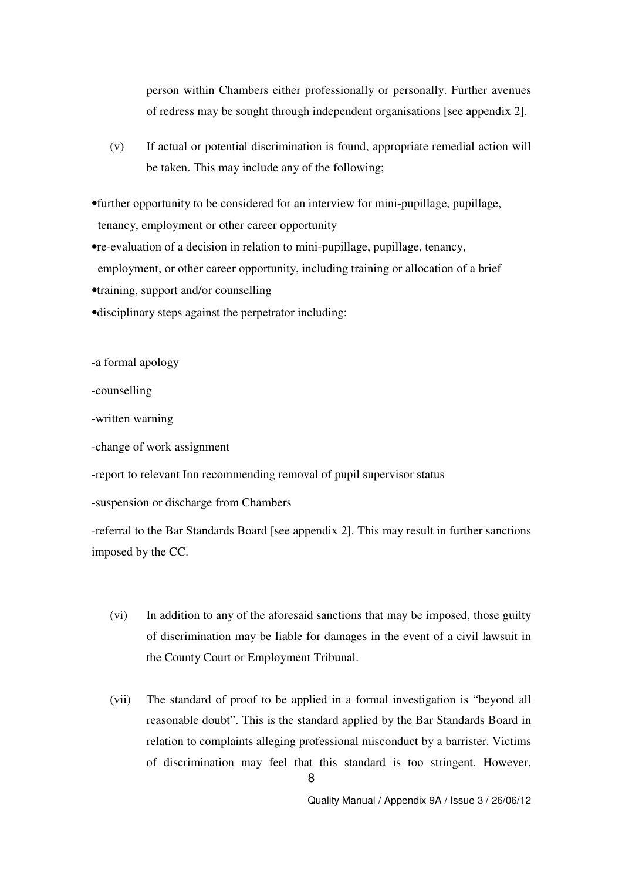person within Chambers either professionally or personally. Further avenues of redress may be sought through independent organisations [see appendix 2].

- (v) If actual or potential discrimination is found, appropriate remedial action will be taken. This may include any of the following;
- •further opportunity to be considered for an interview for mini-pupillage, pupillage, tenancy, employment or other career opportunity
- •re-evaluation of a decision in relation to mini-pupillage, pupillage, tenancy, employment, or other career opportunity, including training or allocation of a brief
- •training, support and/or counselling
- •disciplinary steps against the perpetrator including:

-a formal apology

-counselling

-written warning

-change of work assignment

-report to relevant Inn recommending removal of pupil supervisor status

-suspension or discharge from Chambers

-referral to the Bar Standards Board [see appendix 2]. This may result in further sanctions imposed by the CC.

- (vi) In addition to any of the aforesaid sanctions that may be imposed, those guilty of discrimination may be liable for damages in the event of a civil lawsuit in the County Court or Employment Tribunal.
- (vii) The standard of proof to be applied in a formal investigation is "beyond all reasonable doubt". This is the standard applied by the Bar Standards Board in relation to complaints alleging professional misconduct by a barrister. Victims of discrimination may feel that this standard is too stringent. However,

8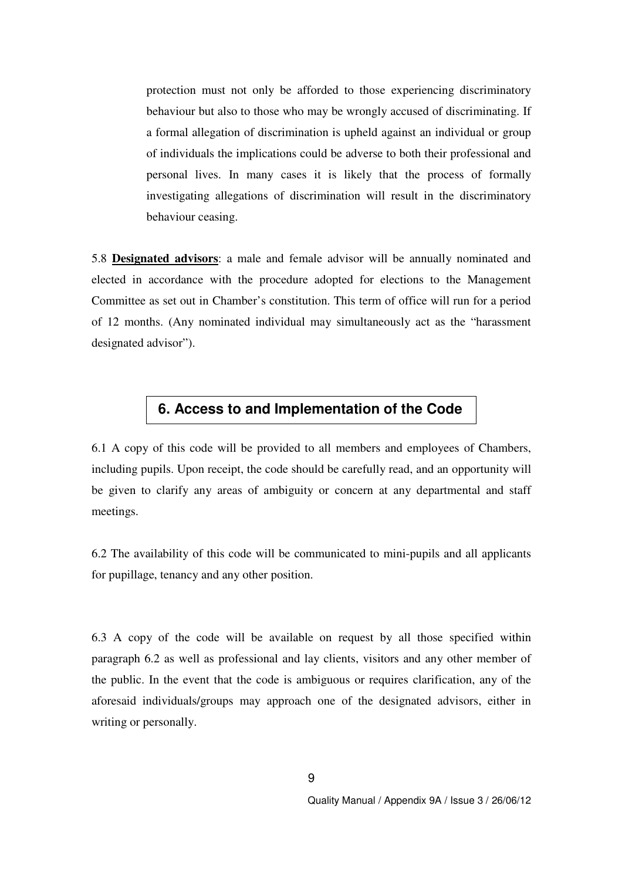protection must not only be afforded to those experiencing discriminatory behaviour but also to those who may be wrongly accused of discriminating. If a formal allegation of discrimination is upheld against an individual or group of individuals the implications could be adverse to both their professional and personal lives. In many cases it is likely that the process of formally investigating allegations of discrimination will result in the discriminatory behaviour ceasing.

5.8 **Designated advisors**: a male and female advisor will be annually nominated and elected in accordance with the procedure adopted for elections to the Management Committee as set out in Chamber's constitution. This term of office will run for a period of 12 months. (Any nominated individual may simultaneously act as the "harassment designated advisor").

#### **6. Access to and Implementation of the Code**

6.1 A copy of this code will be provided to all members and employees of Chambers, including pupils. Upon receipt, the code should be carefully read, and an opportunity will be given to clarify any areas of ambiguity or concern at any departmental and staff meetings.

6.2 The availability of this code will be communicated to mini-pupils and all applicants for pupillage, tenancy and any other position.

6.3 A copy of the code will be available on request by all those specified within paragraph 6.2 as well as professional and lay clients, visitors and any other member of the public. In the event that the code is ambiguous or requires clarification, any of the aforesaid individuals/groups may approach one of the designated advisors, either in writing or personally.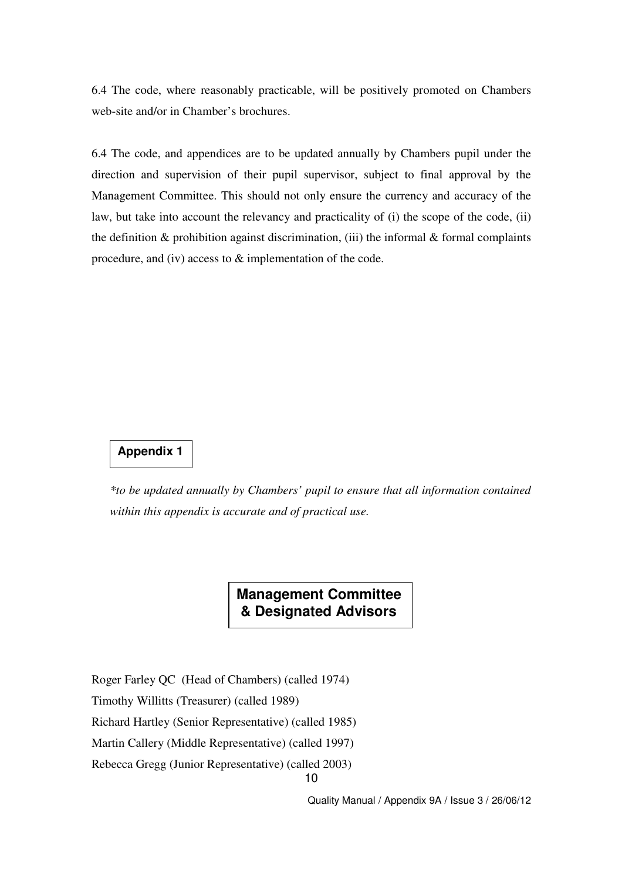6.4 The code, where reasonably practicable, will be positively promoted on Chambers web-site and/or in Chamber's brochures.

6.4 The code, and appendices are to be updated annually by Chambers pupil under the direction and supervision of their pupil supervisor, subject to final approval by the Management Committee. This should not only ensure the currency and accuracy of the law, but take into account the relevancy and practicality of (i) the scope of the code, (ii) the definition  $\&$  prohibition against discrimination, (iii) the informal  $\&$  formal complaints procedure, and (iv) access to & implementation of the code.

#### **Appendix 1**

*\*to be updated annually by Chambers' pupil to ensure that all information contained within this appendix is accurate and of practical use.* 

> **Management Committee & Designated Advisors**

Roger Farley QC (Head of Chambers) (called 1974)

Timothy Willitts (Treasurer) (called 1989)

Richard Hartley (Senior Representative) (called 1985)

Martin Callery (Middle Representative) (called 1997)

Rebecca Gregg (Junior Representative) (called 2003)

10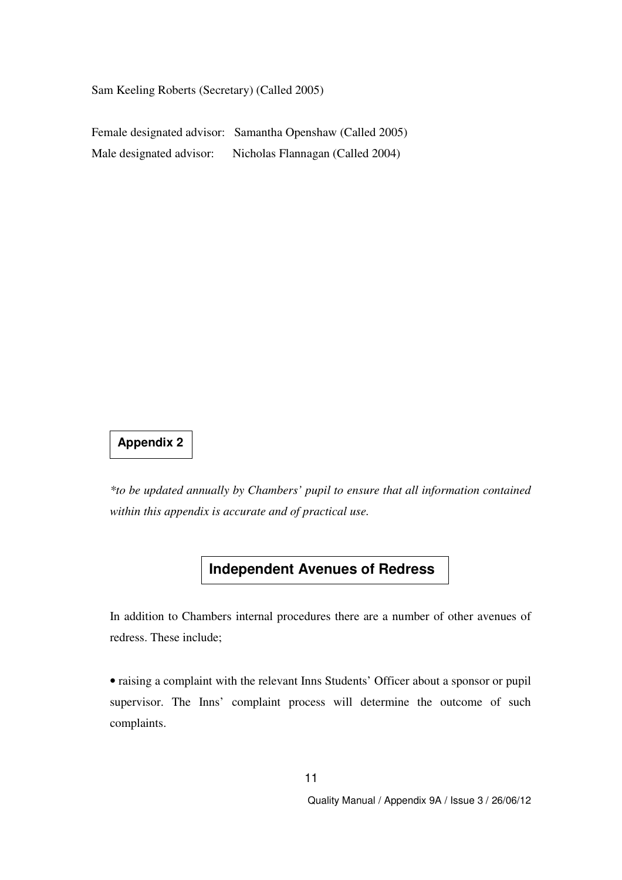Sam Keeling Roberts (Secretary) (Called 2005)

Female designated advisor: Samantha Openshaw (Called 2005) Male designated advisor: Nicholas Flannagan (Called 2004)

### **Appendix 2**

*\*to be updated annually by Chambers' pupil to ensure that all information contained within this appendix is accurate and of practical use.* 

## **Independent Avenues of Redress**

In addition to Chambers internal procedures there are a number of other avenues of redress. These include;

• raising a complaint with the relevant Inns Students' Officer about a sponsor or pupil supervisor. The Inns' complaint process will determine the outcome of such complaints.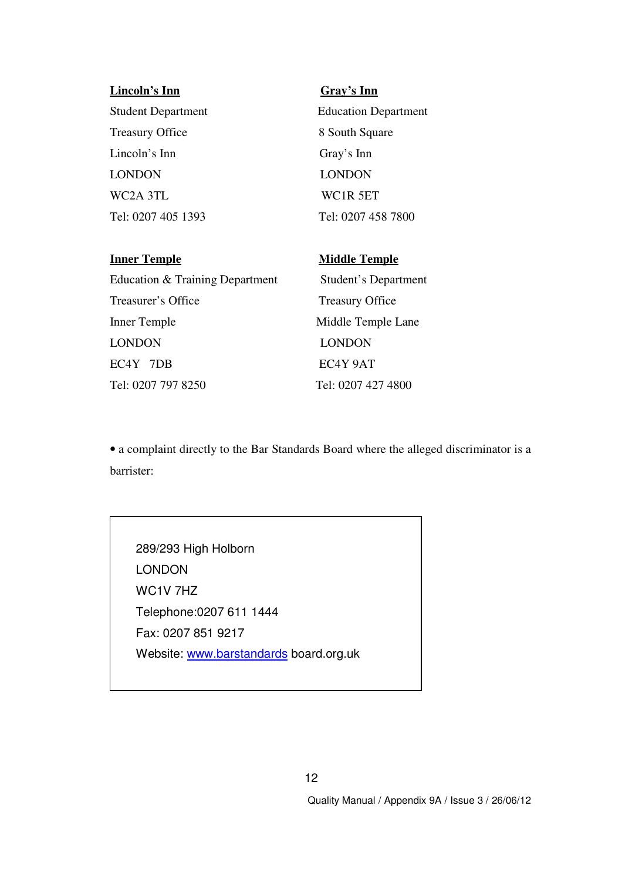| Lincoln's Inn             | Gray's Inn                  |
|---------------------------|-----------------------------|
| <b>Student Department</b> | <b>Education Department</b> |
| <b>Treasury Office</b>    | 8 South Square              |
| Lincoln's Inn             | Gray's Inn                  |
| <b>LONDON</b>             | <b>LONDON</b>               |
| WC2A 3TL                  | WC1R 5ET                    |
| Tel: 0207 405 1393        | Tel: 0207 458 7800          |
|                           |                             |
|                           |                             |

# **Inner Temple Middle Temple** Education & Training Department Student's Department Treasurer's Office Treasury Office Inner Temple Middle Temple Lane LONDON LONDON EC4Y 7DB EC4Y 9AT Tel: 0207 797 8250 Tel: 0207 427 4800

• a complaint directly to the Bar Standards Board where the alleged discriminator is a barrister:

289/293 High Holborn LONDON WC1V 7HZ Telephone:0207 611 1444 Fax: 0207 851 9217 Website: www.barstandards board.org.uk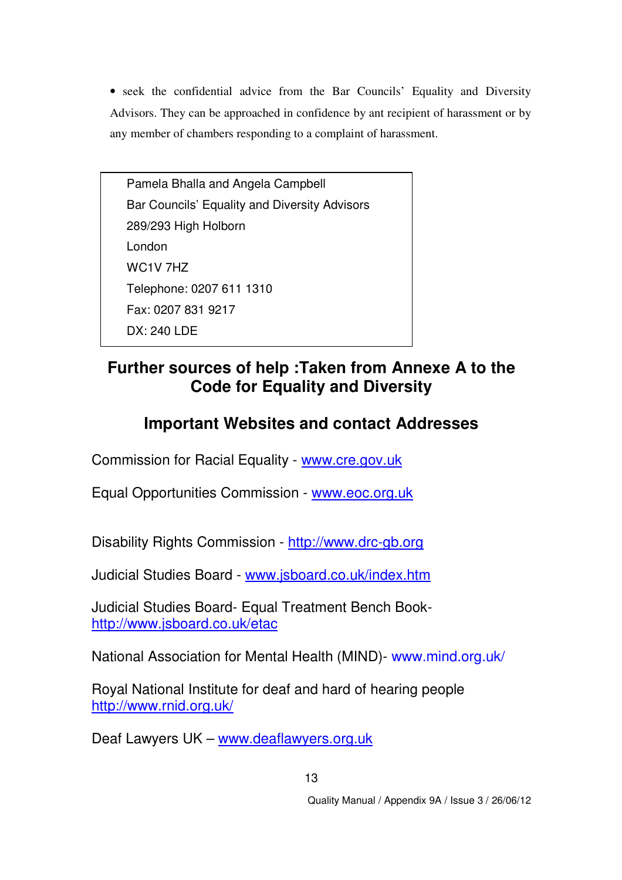• seek the confidential advice from the Bar Councils' Equality and Diversity Advisors. They can be approached in confidence by ant recipient of harassment or by any member of chambers responding to a complaint of harassment.

Pamela Bhalla and Angela Campbell Bar Councils' Equality and Diversity Advisors 289/293 High Holborn London WC1V 7HZ Telephone: 0207 611 1310 Fax: 0207 831 9217 DX: 240 LDE

### **Further sources of help :Taken from Annexe A to the Code for Equality and Diversity**

### **Important Websites and contact Addresses**

Commission for Racial Equality - www.cre.gov.uk

Equal Opportunities Commission - www.eoc.org.uk

Disability Rights Commission - http://www.drc-gb.org

Judicial Studies Board - www.jsboard.co.uk/index.htm

Judicial Studies Board- Equal Treatment Bench Bookhttp://www.jsboard.co.uk/etac

National Association for Mental Health (MIND)- www.mind.org.uk/

Royal National Institute for deaf and hard of hearing people http://www.rnid.org.uk/

Deaf Lawyers UK – www.deaflawyers.org.uk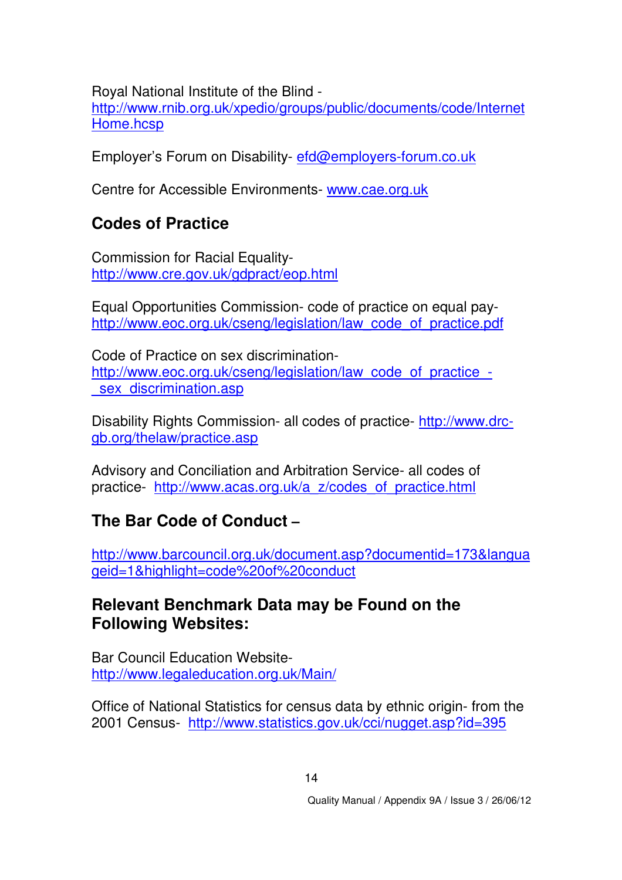Royal National Institute of the Blind -

http://www.rnib.org.uk/xpedio/groups/public/documents/code/Internet Home.hcsp

Employer's Forum on Disability- efd@employers-forum.co.uk

Centre for Accessible Environments- www.cae.org.uk

# **Codes of Practice**

Commission for Racial Equalityhttp://www.cre.gov.uk/gdpract/eop.html

Equal Opportunities Commission- code of practice on equal payhttp://www.eoc.org.uk/cseng/legislation/law\_code\_of\_practice.pdf

Code of Practice on sex discriminationhttp://www.eoc.org.uk/cseng/legislation/law\_code\_of\_practice\_sex discrimination.asp

Disability Rights Commission- all codes of practice- http://www.drcgb.org/thelaw/practice.asp

Advisory and Conciliation and Arbitration Service- all codes of practice- http://www.acas.org.uk/a\_z/codes\_of\_practice.html

# **The Bar Code of Conduct –**

http://www.barcouncil.org.uk/document.asp?documentid=173&langua geid=1&highlight=code%20of%20conduct

### **Relevant Benchmark Data may be Found on the Following Websites:**

Bar Council Education Websitehttp://www.legaleducation.org.uk/Main/

Office of National Statistics for census data by ethnic origin- from the 2001 Census- http://www.statistics.gov.uk/cci/nugget.asp?id=395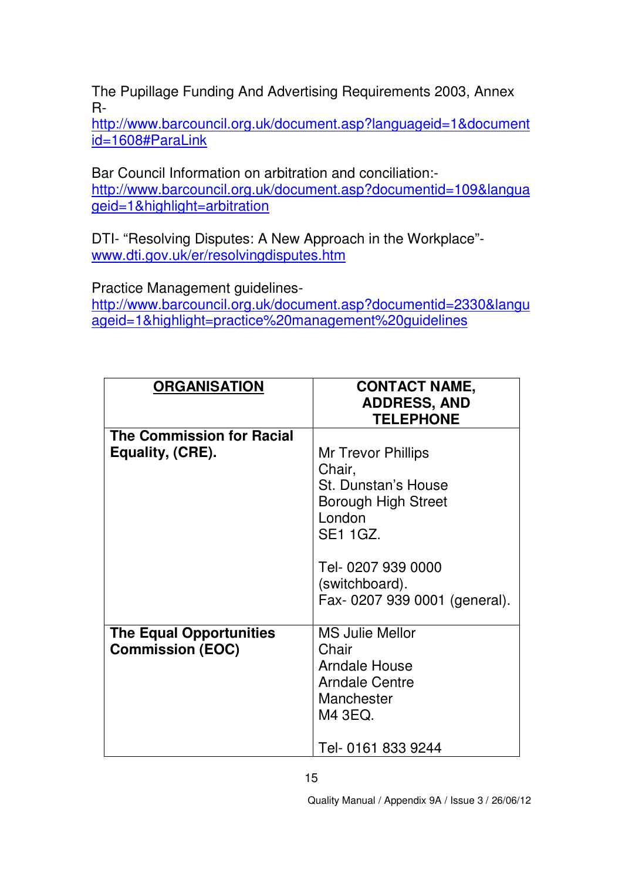The Pupillage Funding And Advertising Requirements 2003, Annex R-

http://www.barcouncil.org.uk/document.asp?languageid=1&document id=1608#ParaLink

Bar Council Information on arbitration and conciliation: http://www.barcouncil.org.uk/document.asp?documentid=109&langua geid=1&highlight=arbitration

DTI- "Resolving Disputes: A New Approach in the Workplace" www.dti.gov.uk/er/resolvingdisputes.htm

Practice Management guidelines-

http://www.barcouncil.org.uk/document.asp?documentid=2330&langu ageid=1&highlight=practice%20management%20guidelines

| <b>ORGANISATION</b>                                       | <b>CONTACT NAME,</b><br><b>ADDRESS, AND</b><br><b>TELEPHONE</b>                                                                 |
|-----------------------------------------------------------|---------------------------------------------------------------------------------------------------------------------------------|
| <b>The Commission for Racial</b><br>Equality, (CRE).      | Mr Trevor Phillips<br>Chair,<br>St. Dunstan's House<br>Borough High Street<br>London<br><b>SE1 1GZ.</b>                         |
|                                                           | Tel- 0207 939 0000<br>(switchboard).<br>Fax-0207 939 0001 (general).                                                            |
| <b>The Equal Opportunities</b><br><b>Commission (EOC)</b> | <b>MS Julie Mellor</b><br>Chair<br><b>Arndale House</b><br><b>Arndale Centre</b><br>Manchester<br>M4 3EQ.<br>Tel- 0161 833 9244 |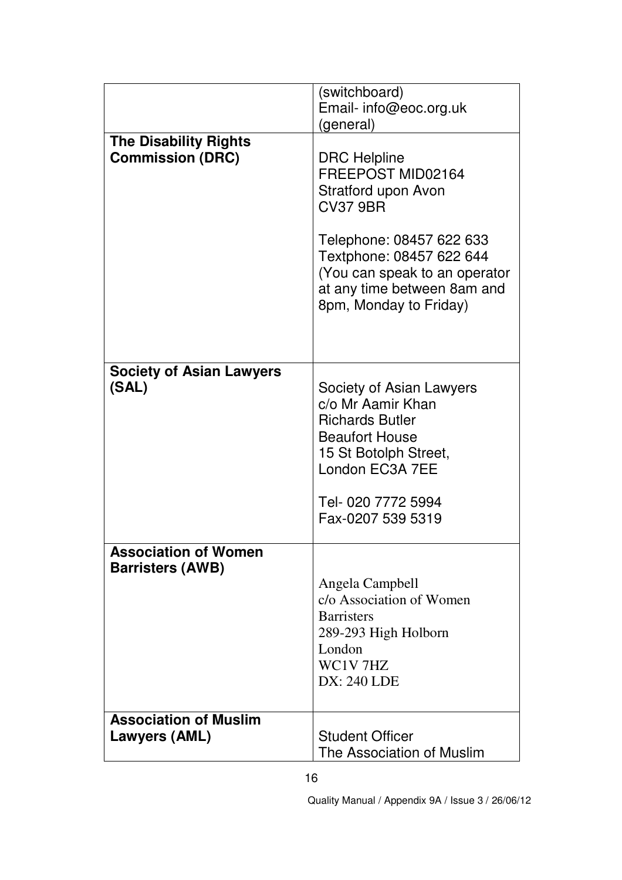|                                                         | (switchboard)                                 |
|---------------------------------------------------------|-----------------------------------------------|
|                                                         | Email- info@eoc.org.uk                        |
|                                                         | (general)                                     |
| <b>The Disability Rights</b><br><b>Commission (DRC)</b> | <b>DRC</b> Helpline                           |
|                                                         | FREEPOST MID02164                             |
|                                                         | Stratford upon Avon                           |
|                                                         | <b>CV37 9BR</b>                               |
|                                                         | Telephone: 08457 622 633                      |
|                                                         | Textphone: 08457 622 644                      |
|                                                         | (You can speak to an operator                 |
|                                                         | at any time between 8am and                   |
|                                                         | 8pm, Monday to Friday)                        |
|                                                         |                                               |
|                                                         |                                               |
| <b>Society of Asian Lawyers</b>                         |                                               |
| (SAL)                                                   | Society of Asian Lawyers<br>c/o Mr Aamir Khan |
|                                                         | <b>Richards Butler</b>                        |
|                                                         | <b>Beaufort House</b>                         |
|                                                         | 15 St Botolph Street,                         |
|                                                         | London EC3A 7EE                               |
|                                                         | Tel- 020 7772 5994                            |
|                                                         | Fax-0207 539 5319                             |
| <b>Association of Women</b>                             |                                               |
| <b>Barristers (AWB)</b>                                 |                                               |
|                                                         | Angela Campbell                               |
|                                                         | c/o Association of Women                      |
|                                                         | <b>Barristers</b>                             |
|                                                         | 289-293 High Holborn<br>London                |
|                                                         | WC1V7HZ                                       |
|                                                         | <b>DX: 240 LDE</b>                            |
|                                                         |                                               |
| <b>Association of Muslim</b>                            |                                               |
| Lawyers (AML)                                           | <b>Student Officer</b>                        |
|                                                         | The Association of Muslim                     |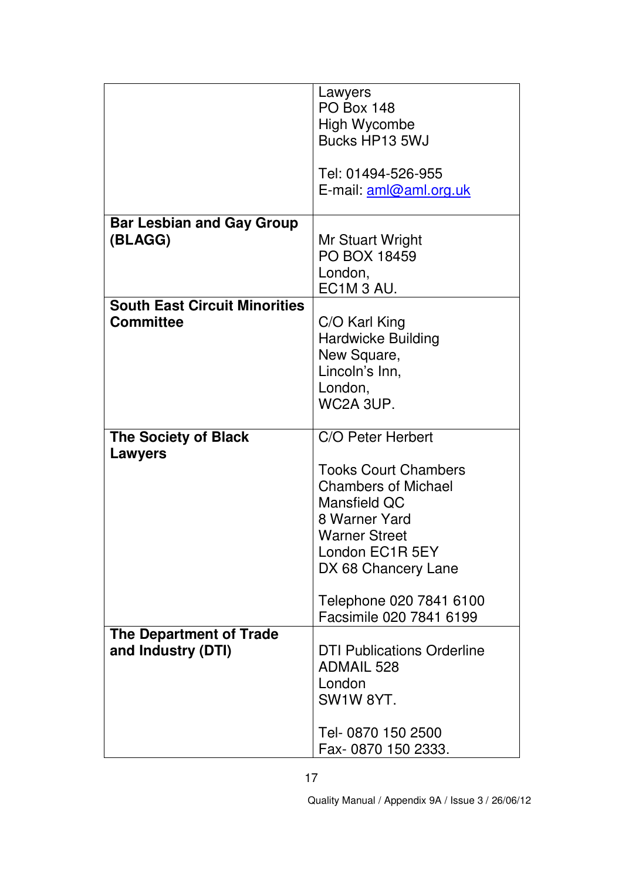|                                             | Lawyers<br><b>PO Box 148</b><br><b>High Wycombe</b> |
|---------------------------------------------|-----------------------------------------------------|
|                                             | Bucks HP13 5WJ                                      |
|                                             | Tel: 01494-526-955                                  |
|                                             | E-mail: aml@aml.org.uk                              |
| <b>Bar Lesbian and Gay Group</b><br>(BLAGG) | Mr Stuart Wright                                    |
|                                             | <b>PO BOX 18459</b>                                 |
|                                             | London,<br>EC1M <sub>3</sub> AU.                    |
| <b>South East Circuit Minorities</b>        |                                                     |
| <b>Committee</b>                            | C/O Karl King<br><b>Hardwicke Building</b>          |
|                                             | New Square,                                         |
|                                             | Lincoln's Inn,<br>London,                           |
|                                             | WC2A 3UP.                                           |
| <b>The Society of Black</b><br>Lawyers      | C/O Peter Herbert                                   |
|                                             | <b>Tooks Court Chambers</b>                         |
|                                             | <b>Chambers of Michael</b><br>Mansfield QC          |
|                                             | 8 Warner Yard                                       |
|                                             | <b>Warner Street</b>                                |
|                                             | London EC1R 5EY<br>DX 68 Chancery Lane              |
|                                             | Telephone 020 7841 6100                             |
|                                             | Facsimile 020 7841 6199                             |
| <b>The Department of Trade</b>              | <b>DTI Publications Orderline</b>                   |
| and Industry (DTI)                          | <b>ADMAIL 528</b>                                   |
|                                             | London                                              |
|                                             | SW1W 8YT.                                           |
|                                             | Tel- 0870 150 2500<br>Fax-0870 150 2333.            |